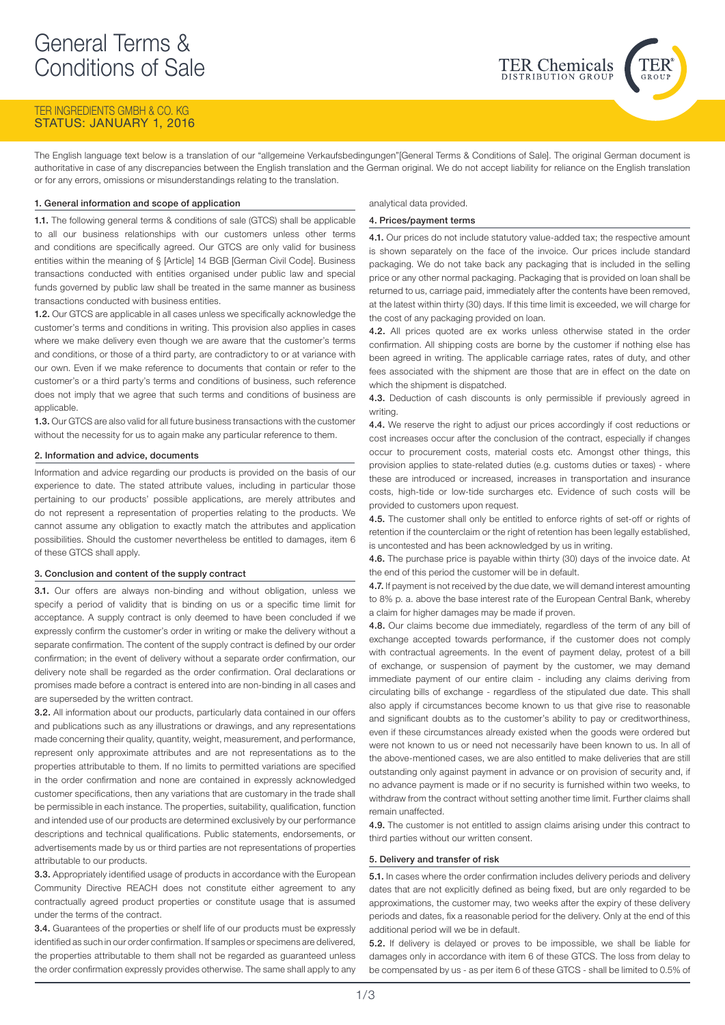# TER INGREDIENTS GMBH & CO. KG StaTUS: JANUARY 1, 2016

The English language text below is a translation of our "allgemeine Verkaufsbedingungen"[General Terms & Conditions of Sale]. The original German document is authoritative in case of any discrepancies between the English translation and the German original. We do not accept liability for reliance on the English translation or for any errors, omissions or misunderstandings relating to the translation.

## 1. General information and scope of application

1.1. The following general terms & conditions of sale (GTCS) shall be applicable to all our business relationships with our customers unless other terms and conditions are specifically agreed. Our GTCS are only valid for business entities within the meaning of § [Article] 14 BGB [German Civil Code]. Business transactions conducted with entities organised under public law and special funds governed by public law shall be treated in the same manner as business transactions conducted with business entities.

1.2. Our GTCS are applicable in all cases unless we specifically acknowledge the customer's terms and conditions in writing. This provision also applies in cases where we make delivery even though we are aware that the customer's terms and conditions, or those of a third party, are contradictory to or at variance with our own. Even if we make reference to documents that contain or refer to the customer's or a third party's terms and conditions of business, such reference does not imply that we agree that such terms and conditions of business are applicable.

1.3. Our GTCS are also valid for all future business transactions with the customer without the necessity for us to again make any particular reference to them.

## 2. Information and advice, documents

Information and advice regarding our products is provided on the basis of our experience to date. The stated attribute values, including in particular those pertaining to our products' possible applications, are merely attributes and do not represent a representation of properties relating to the products. We cannot assume any obligation to exactly match the attributes and application possibilities. Should the customer nevertheless be entitled to damages, item 6 of these GTCS shall apply.

## 3. Conclusion and content of the supply contract

3.1. Our offers are always non-binding and without obligation, unless we specify a period of validity that is binding on us or a specific time limit for acceptance. A supply contract is only deemed to have been concluded if we expressly confirm the customer's order in writing or make the delivery without a separate confirmation. The content of the supply contract is defined by our order confirmation; in the event of delivery without a separate order confirmation, our delivery note shall be regarded as the order confirmation. Oral declarations or promises made before a contract is entered into are non-binding in all cases and are superseded by the written contract.

3.2. All information about our products, particularly data contained in our offers and publications such as any illustrations or drawings, and any representations made concerning their quality, quantity, weight, measurement, and performance, represent only approximate attributes and are not representations as to the properties attributable to them. If no limits to permitted variations are specified in the order confirmation and none are contained in expressly acknowledged customer specifications, then any variations that are customary in the trade shall be permissible in each instance. The properties, suitability, qualification, function and intended use of our products are determined exclusively by our performance descriptions and technical qualifications. Public statements, endorsements, or advertisements made by us or third parties are not representations of properties attributable to our products.

3.3. Appropriately identified usage of products in accordance with the European Community Directive REACH does not constitute either agreement to any contractually agreed product properties or constitute usage that is assumed under the terms of the contract.

3.4. Guarantees of the properties or shelf life of our products must be expressly identified as such in our order confirmation. If samples or specimens are delivered, the properties attributable to them shall not be regarded as guaranteed unless the order confirmation expressly provides otherwise. The same shall apply to any analytical data provided.

## 4. Prices/payment terms

4.1. Our prices do not include statutory value-added tax; the respective amount is shown separately on the face of the invoice. Our prices include standard packaging. We do not take back any packaging that is included in the selling price or any other normal packaging. Packaging that is provided on loan shall be returned to us, carriage paid, immediately after the contents have been removed, at the latest within thirty (30) days. If this time limit is exceeded, we will charge for the cost of any packaging provided on loan.

**TER Chemicals** 

4.2. All prices quoted are ex works unless otherwise stated in the order confirmation. All shipping costs are borne by the customer if nothing else has been agreed in writing. The applicable carriage rates, rates of duty, and other fees associated with the shipment are those that are in effect on the date on which the shipment is dispatched.

4.3. Deduction of cash discounts is only permissible if previously agreed in writing.

4.4. We reserve the right to adjust our prices accordingly if cost reductions or cost increases occur after the conclusion of the contract, especially if changes occur to procurement costs, material costs etc. Amongst other things, this provision applies to state-related duties (e.g. customs duties or taxes) - where these are introduced or increased, increases in transportation and insurance costs, high-tide or low-tide surcharges etc. Evidence of such costs will be provided to customers upon request.

4.5. The customer shall only be entitled to enforce rights of set-off or rights of retention if the counterclaim or the right of retention has been legally established, is uncontested and has been acknowledged by us in writing.

4.6. The purchase price is payable within thirty (30) days of the invoice date. At the end of this period the customer will be in default.

4.7. If payment is not received by the due date, we will demand interest amounting to 8% p. a. above the base interest rate of the European Central Bank, whereby a claim for higher damages may be made if proven.

4.8. Our claims become due immediately, regardless of the term of any bill of exchange accepted towards performance, if the customer does not comply with contractual agreements. In the event of payment delay, protest of a bill of exchange, or suspension of payment by the customer, we may demand immediate payment of our entire claim - including any claims deriving from circulating bills of exchange - regardless of the stipulated due date. This shall also apply if circumstances become known to us that give rise to reasonable and significant doubts as to the customer's ability to pay or creditworthiness, even if these circumstances already existed when the goods were ordered but were not known to us or need not necessarily have been known to us. In all of the above-mentioned cases, we are also entitled to make deliveries that are still outstanding only against payment in advance or on provision of security and, if no advance payment is made or if no security is furnished within two weeks, to withdraw from the contract without setting another time limit. Further claims shall remain unaffected.

4.9. The customer is not entitled to assign claims arising under this contract to third parties without our written consent.

#### 5. Delivery and transfer of risk

5.1. In cases where the order confirmation includes delivery periods and delivery dates that are not explicitly defined as being fixed, but are only regarded to be approximations, the customer may, two weeks after the expiry of these delivery periods and dates, fix a reasonable period for the delivery. Only at the end of this additional period will we be in default.

5.2. If delivery is delayed or proves to be impossible, we shall be liable for damages only in accordance with item 6 of these GTCS. The loss from delay to be compensated by us - as per item 6 of these GTCS - shall be limited to 0.5% of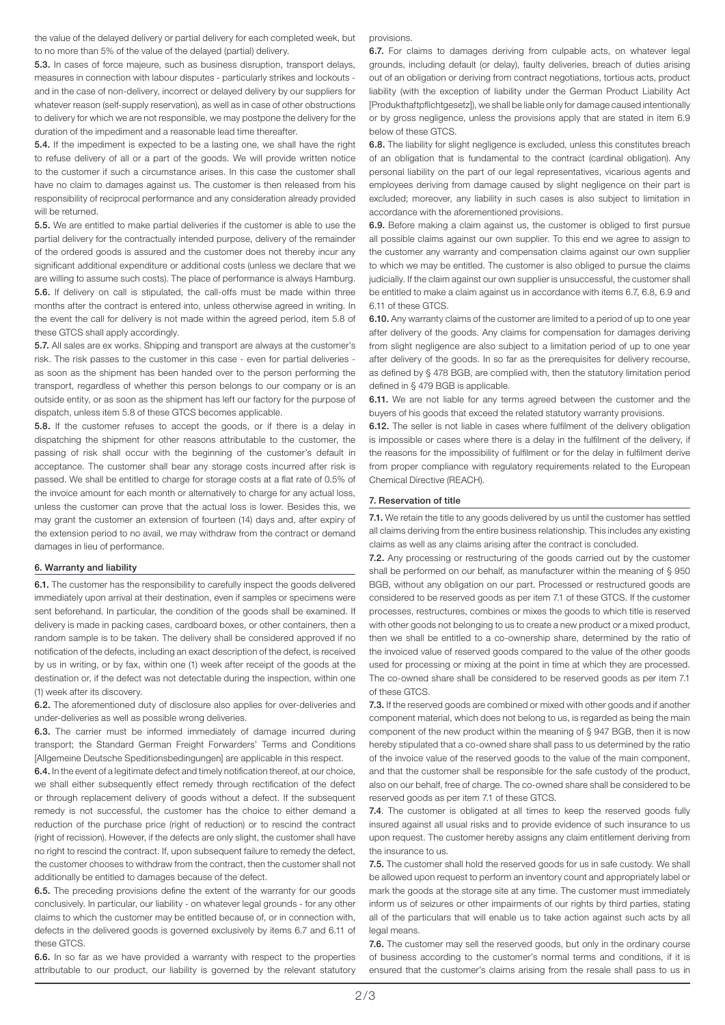the value of the delayed delivery or partial delivery for each completed week, but to no more than 5% of the value of the delayed (partial) delivery.

5.3. In cases of force majeure, such as business disruption, transport delays, measures in connection with labour disputes - particularly strikes and lockouts and in the case of non-delivery, incorrect or delayed delivery by our suppliers for whatever reason (self-supply reservation), as well as in case of other obstructions to delivery for which we are not responsible, we may postpone the delivery for the duration of the impediment and a reasonable lead time thereafter.

5.4. If the impediment is expected to be a lasting one, we shall have the right to refuse delivery of all or a part of the goods. We will provide written notice to the customer if such a circumstance arises. In this case the customer shall have no claim to damages against us. The customer is then released from his responsibility of reciprocal performance and any consideration already provided will be returned.

5.5. We are entitled to make partial deliveries if the customer is able to use the partial delivery for the contractually intended purpose, delivery of the remainder of the ordered goods is assured and the customer does not thereby incur any significant additional expenditure or additional costs (unless we declare that we are willing to assume such costs). The place of performance is always Hamburg. 5.6. If delivery on call is stipulated, the call-offs must be made within three months after the contract is entered into, unless otherwise agreed in writing. In the event the call for delivery is not made within the agreed period, item 5.8 of these GTCS shall apply accordingly.

5.7. All sales are ex works. Shipping and transport are always at the customer's risk. The risk passes to the customer in this case - even for partial deliveries as soon as the shipment has been handed over to the person performing the transport, regardless of whether this person belongs to our company or is an outside entity, or as soon as the shipment has left our factory for the purpose of dispatch, unless item 5.8 of these GTCS becomes applicable.

5.8. If the customer refuses to accept the goods, or if there is a delay in dispatching the shipment for other reasons attributable to the customer, the passing of risk shall occur with the beginning of the customer's default in acceptance. The customer shall bear any storage costs incurred after risk is passed. We shall be entitled to charge for storage costs at a flat rate of 0.5% of the invoice amount for each month or alternatively to charge for any actual loss, unless the customer can prove that the actual loss is lower. Besides this, we may grant the customer an extension of fourteen (14) days and, after expiry of the extension period to no avail, we may withdraw from the contract or demand damages in lieu of performance.

## 6. Warranty and liability

6.1. The customer has the responsibility to carefully inspect the goods delivered immediately upon arrival at their destination, even if samples or specimens were sent beforehand. In particular, the condition of the goods shall be examined. If delivery is made in packing cases, cardboard boxes, or other containers, then a random sample is to be taken. The delivery shall be considered approved if no notification of the defects, including an exact description of the defect, is received by us in writing, or by fax, within one (1) week after receipt of the goods at the destination or, if the defect was not detectable during the inspection, within one (1) week after its discovery.

6.2. The aforementioned duty of disclosure also applies for over-deliveries and under-deliveries as well as possible wrong deliveries.

6.3. The carrier must be informed immediately of damage incurred during transport; the Standard German Freight Forwarders' Terms and Conditions [Allgemeine Deutsche Speditionsbedingungen] are applicable in this respect.

6.4. In the event of a legitimate defect and timely notification thereof, at our choice, we shall either subsequently effect remedy through rectification of the defect or through replacement delivery of goods without a defect. If the subsequent remedy is not successful, the customer has the choice to either demand a reduction of the purchase price (right of reduction) or to rescind the contract (right of recission). However, if the defects are only slight, the customer shall have no right to rescind the contract. If, upon subsequent failure to remedy the defect, the customer chooses to withdraw from the contract, then the customer shall not additionally be entitled to damages because of the defect.

6.5. The preceding provisions define the extent of the warranty for our goods conclusively. In particular, our liability - on whatever legal grounds - for any other claims to which the customer may be entitled because of, or in connection with, defects in the delivered goods is governed exclusively by items 6.7 and 6.11 of these GTCS.

6.6. In so far as we have provided a warranty with respect to the properties attributable to our product, our liability is governed by the relevant statutory provisions.

6.7. For claims to damages deriving from culpable acts, on whatever legal grounds, including default (or delay), faulty deliveries, breach of duties arising out of an obligation or deriving from contract negotiations, tortious acts, product liability (with the exception of liability under the German Product Liability Act [Produkthaftpflichtgesetz]), we shall be liable only for damage caused intentionally or by gross negligence, unless the provisions apply that are stated in item 6.9 below of these GTCS.

6.8. The liability for slight negligence is excluded, unless this constitutes breach of an obligation that is fundamental to the contract (cardinal obligation). Any personal liability on the part of our legal representatives, vicarious agents and employees deriving from damage caused by slight negligence on their part is excluded; moreover, any liability in such cases is also subject to limitation in accordance with the aforementioned provisions.

6.9. Before making a claim against us, the customer is obliged to first pursue all possible claims against our own supplier. To this end we agree to assign to the customer any warranty and compensation claims against our own supplier to which we may be entitled. The customer is also obliged to pursue the claims judicially. If the claim against our own supplier is unsuccessful, the customer shall be entitled to make a claim against us in accordance with items 6.7, 6.8, 6.9 and 6.11 of these GTCS.

6.10. Any warranty claims of the customer are limited to a period of up to one year after delivery of the goods. Any claims for compensation for damages deriving from slight negligence are also subject to a limitation period of up to one year after delivery of the goods. In so far as the prerequisites for delivery recourse, as defined by § 478 BGB, are complied with, then the statutory limitation period defined in § 479 BGB is applicable.

6.11. We are not liable for any terms agreed between the customer and the buyers of his goods that exceed the related statutory warranty provisions.

6.12. The seller is not liable in cases where fulfilment of the delivery obligation is impossible or cases where there is a delay in the fulfilment of the delivery, if the reasons for the impossibility of fulfilment or for the delay in fulfilment derive from proper compliance with regulatory requirements related to the European Chemical Directive (REACH).

### 7. Reservation of title

7.1. We retain the title to any goods delivered by us until the customer has settled all claims deriving from the entire business relationship. This includes any existing claims as well as any claims arising after the contract is concluded.

7.2. Any processing or restructuring of the goods carried out by the customer shall be performed on our behalf, as manufacturer within the meaning of § 950 BGB, without any obligation on our part. Processed or restructured goods are considered to be reserved goods as per item 7.1 of these GTCS. If the customer processes, restructures, combines or mixes the goods to which title is reserved with other goods not belonging to us to create a new product or a mixed product, then we shall be entitled to a co-ownership share, determined by the ratio of the invoiced value of reserved goods compared to the value of the other goods used for processing or mixing at the point in time at which they are processed. The co-owned share shall be considered to be reserved goods as per item 7.1 of these GTCS.

7.3. If the reserved goods are combined or mixed with other goods and if another component material, which does not belong to us, is regarded as being the main component of the new product within the meaning of § 947 BGB, then it is now hereby stipulated that a co-owned share shall pass to us determined by the ratio of the invoice value of the reserved goods to the value of the main component, and that the customer shall be responsible for the safe custody of the product, also on our behalf, free of charge. The co-owned share shall be considered to be reserved goods as per item 7.1 of these GTCS.

7.4. The customer is obligated at all times to keep the reserved goods fully insured against all usual risks and to provide evidence of such insurance to us upon request. The customer hereby assigns any claim entitlement deriving from the insurance to us.

7.5. The customer shall hold the reserved goods for us in safe custody. We shall be allowed upon request to perform an inventory count and appropriately label or mark the goods at the storage site at any time. The customer must immediately inform us of seizures or other impairments of our rights by third parties, stating all of the particulars that will enable us to take action against such acts by all legal means.

7.6. The customer may sell the reserved goods, but only in the ordinary course of business according to the customer's normal terms and conditions, if it is ensured that the customer's claims arising from the resale shall pass to us in